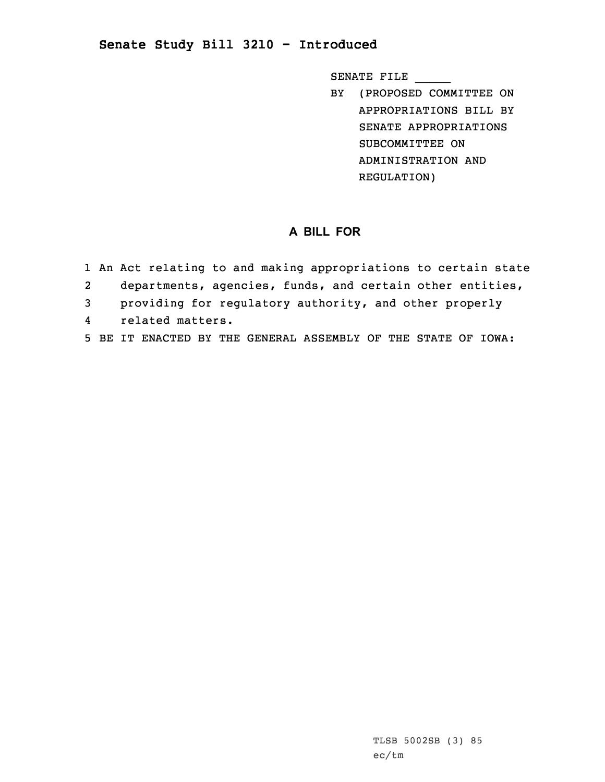## **Senate Study Bill 3210 - Introduced**

SENATE FILE \_\_\_\_\_

BY (PROPOSED COMMITTEE ON APPROPRIATIONS BILL BY SENATE APPROPRIATIONS SUBCOMMITTEE ON ADMINISTRATION AND REGULATION)

## **A BILL FOR**

1 An Act relating to and making appropriations to certain state 2 departments, agencies, funds, and certain other entities, 3 providing for regulatory authority, and other properly 4 related matters. 5 BE IT ENACTED BY THE GENERAL ASSEMBLY OF THE STATE OF IOWA: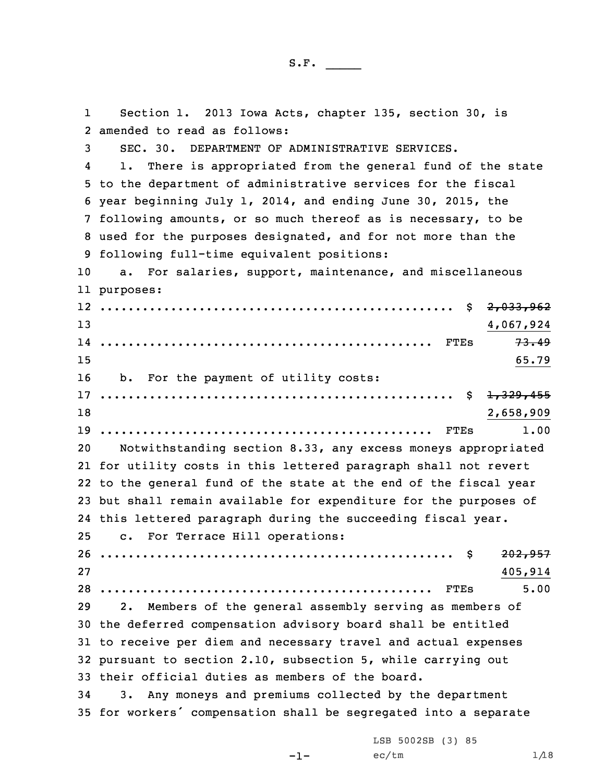1 Section 1. 2013 Iowa Acts, chapter 135, section 30, is amended to read as follows: SEC. 30. DEPARTMENT OF ADMINISTRATIVE SERVICES. 4 1. There is appropriated from the general fund of the state to the department of administrative services for the fiscal year beginning July 1, 2014, and ending June 30, 2015, the following amounts, or so much thereof as is necessary, to be used for the purposes designated, and for not more than the following full-time equivalent positions: a. For salaries, support, maintenance, and miscellaneous purposes: .................................................. \$ 2,033,962 4,067,924 ............................................... FTEs 73.49  $15$  65.79 b. For the payment of utility costs: .................................................. \$ 1,329,455 2,658,909 ............................................... FTEs 1.00 Notwithstanding section 8.33, any excess moneys appropriated for utility costs in this lettered paragraph shall not revert to the general fund of the state at the end of the fiscal year but shall remain available for expenditure for the purposes of this lettered paragraph during the succeeding fiscal year. c. For Terrace Hill operations: .................................................. \$ 202,957 27 405,914 ............................................... FTEs 5.00 2. Members of the general assembly serving as members of the deferred compensation advisory board shall be entitled to receive per diem and necessary travel and actual expenses pursuant to section 2.10, subsection 5, while carrying out their official duties as members of the board. 3. Any moneys and premiums collected by the department for workers' compensation shall be segregated into <sup>a</sup> separate

-1-

LSB 5002SB (3) 85  $ec/tm$   $1/18$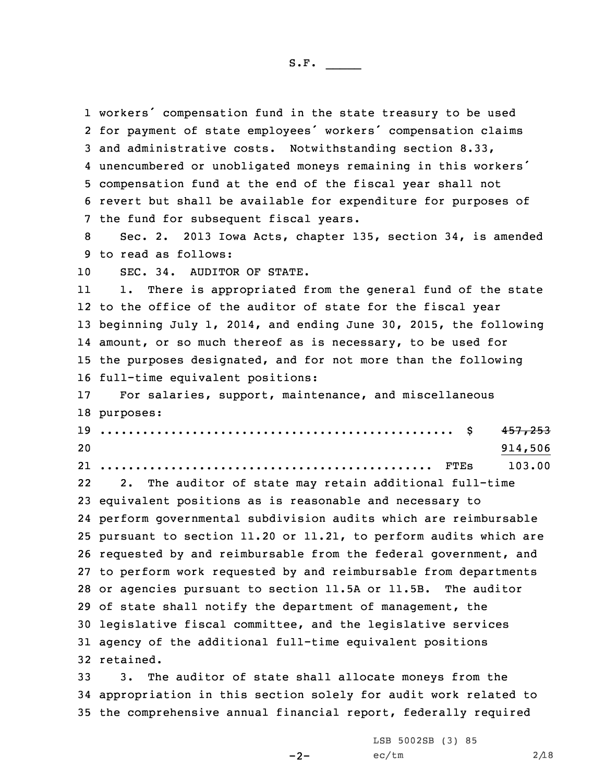workers' compensation fund in the state treasury to be used for payment of state employees' workers' compensation claims and administrative costs. Notwithstanding section 8.33, unencumbered or unobligated moneys remaining in this workers' compensation fund at the end of the fiscal year shall not revert but shall be available for expenditure for purposes of the fund for subsequent fiscal years. Sec. 2. 2013 Iowa Acts, chapter 135, section 34, is amended to read as follows: SEC. 34. AUDITOR OF STATE. 11 1. There is appropriated from the general fund of the state to the office of the auditor of state for the fiscal year beginning July 1, 2014, and ending June 30, 2015, the following amount, or so much thereof as is necessary, to be used for the purposes designated, and for not more than the following full-time equivalent positions: For salaries, support, maintenance, and miscellaneous purposes: .................................................. \$ 457,253 20 914,506 ............................................... FTEs 103.00 22 2. The auditor of state may retain additional full-time equivalent positions as is reasonable and necessary to perform governmental subdivision audits which are reimbursable pursuant to section 11.20 or 11.21, to perform audits which are requested by and reimbursable from the federal government, and to perform work requested by and reimbursable from departments or agencies pursuant to section 11.5A or 11.5B. The auditor of state shall notify the department of management, the legislative fiscal committee, and the legislative services agency of the additional full-time equivalent positions retained. 3. The auditor of state shall allocate moneys from the appropriation in this section solely for audit work related to the comprehensive annual financial report, federally required

 $-2-$ 

LSB 5002SB (3) 85  $ec/tm$  2/18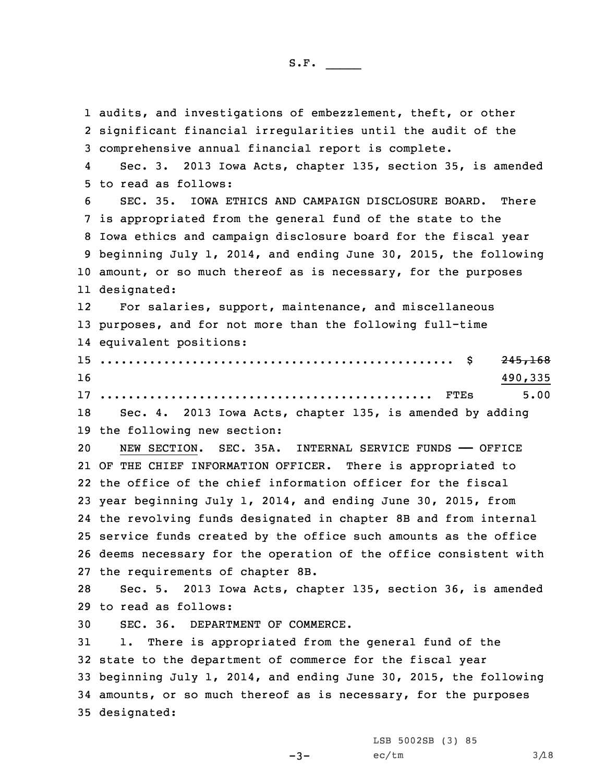audits, and investigations of embezzlement, theft, or other significant financial irregularities until the audit of the comprehensive annual financial report is complete. 4 Sec. 3. 2013 Iowa Acts, chapter 135, section 35, is amended to read as follows: SEC. 35. IOWA ETHICS AND CAMPAIGN DISCLOSURE BOARD. There is appropriated from the general fund of the state to the Iowa ethics and campaign disclosure board for the fiscal year beginning July 1, 2014, and ending June 30, 2015, the following 10 amount, or so much thereof as is necessary, for the purposes designated: 12 For salaries, support, maintenance, and miscellaneous purposes, and for not more than the following full-time equivalent positions: .................................................. \$ 245,168  $16$  490,335 ............................................... FTEs 5.00 Sec. 4. 2013 Iowa Acts, chapter 135, is amended by adding the following new section: NEW SECTION. SEC. 35A. INTERNAL SERVICE FUNDS —— OFFICE OF THE CHIEF INFORMATION OFFICER. There is appropriated to the office of the chief information officer for the fiscal year beginning July 1, 2014, and ending June 30, 2015, from the revolving funds designated in chapter 8B and from internal service funds created by the office such amounts as the office deems necessary for the operation of the office consistent with the requirements of chapter 8B. Sec. 5. 2013 Iowa Acts, chapter 135, section 36, is amended to read as follows: SEC. 36. DEPARTMENT OF COMMERCE. 1. There is appropriated from the general fund of the state to the department of commerce for the fiscal year beginning July 1, 2014, and ending June 30, 2015, the following amounts, or so much thereof as is necessary, for the purposes designated:

 $-3-$ 

LSB 5002SB (3) 85  $ec/tm$   $3/18$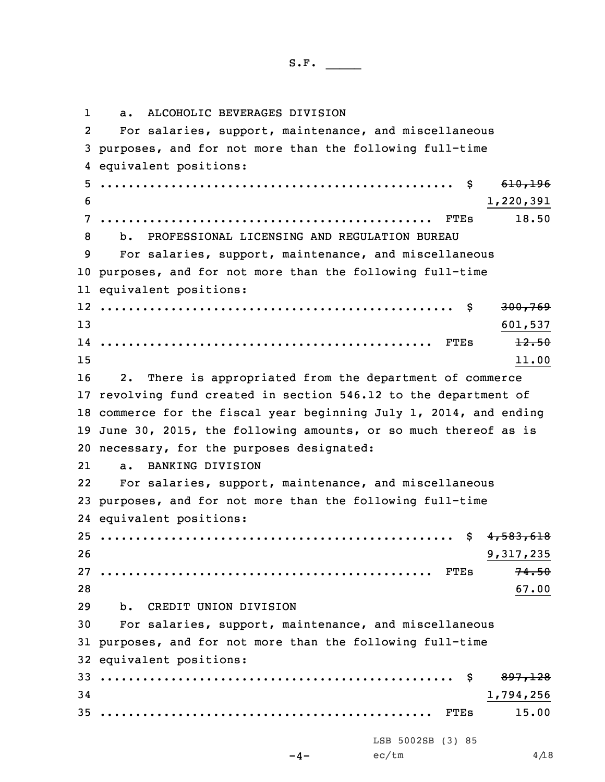1 a. ALCOHOLIC BEVERAGES DIVISION 2 For salaries, support, maintenance, and miscellaneous purposes, and for not more than the following full-time equivalent positions: .................................................. \$ 610,196  $1,220,391$  ............................................... FTEs 18.50 b. PROFESSIONAL LICENSING AND REGULATION BUREAU For salaries, support, maintenance, and miscellaneous purposes, and for not more than the following full-time equivalent positions: .................................................. \$ 300,769 13 601,537 ............................................... FTEs 12.50  $15$  11.00 2. There is appropriated from the department of commerce revolving fund created in section 546.12 to the department of commerce for the fiscal year beginning July 1, 2014, and ending June 30, 2015, the following amounts, or so much thereof as is necessary, for the purposes designated: 21 a. BANKING DIVISION 22 For salaries, support, maintenance, and miscellaneous purposes, and for not more than the following full-time equivalent positions: .................................................. \$ 4,583,618 9,317,235 ............................................... FTEs 74.50 28 67.00 b. CREDIT UNION DIVISION For salaries, support, maintenance, and miscellaneous purposes, and for not more than the following full-time equivalent positions: .................................................. \$ 897,128 1,794,256 ............................................... FTEs 15.00  $-4-$ LSB 5002SB (3) 85  $ec/tm$  4/18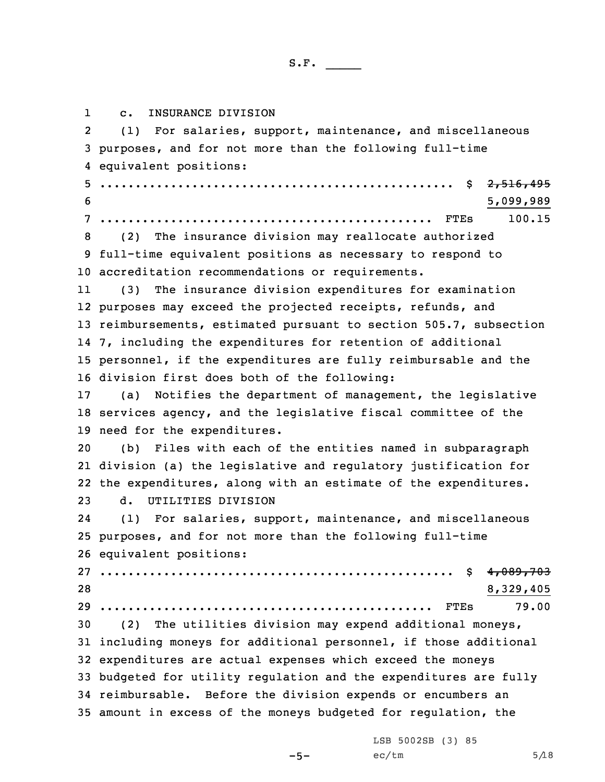1 c. INSURANCE DIVISION 2 (1) For salaries, support, maintenance, and miscellaneous purposes, and for not more than the following full-time equivalent positions: .................................................. \$ 2,516,495 5,099,989 ............................................... FTEs 100.15 (2) The insurance division may reallocate authorized full-time equivalent positions as necessary to respond to accreditation recommendations or requirements. 11 (3) The insurance division expenditures for examination purposes may exceed the projected receipts, refunds, and reimbursements, estimated pursuant to section 505.7, subsection 7, including the expenditures for retention of additional personnel, if the expenditures are fully reimbursable and the division first does both of the following: (a) Notifies the department of management, the legislative services agency, and the legislative fiscal committee of the need for the expenditures. (b) Files with each of the entities named in subparagraph division (a) the legislative and regulatory justification for the expenditures, along with an estimate of the expenditures. d. UTILITIES DIVISION 24 (1) For salaries, support, maintenance, and miscellaneous purposes, and for not more than the following full-time equivalent positions: .................................................. \$ 4,089,703 8,329,405 ............................................... FTEs 79.00 (2) The utilities division may expend additional moneys, including moneys for additional personnel, if those additional expenditures are actual expenses which exceed the moneys budgeted for utility regulation and the expenditures are fully reimbursable. Before the division expends or encumbers an amount in excess of the moneys budgeted for regulation, the

 $-5-$ 

LSB 5002SB (3) 85  $ec/tm$  5/18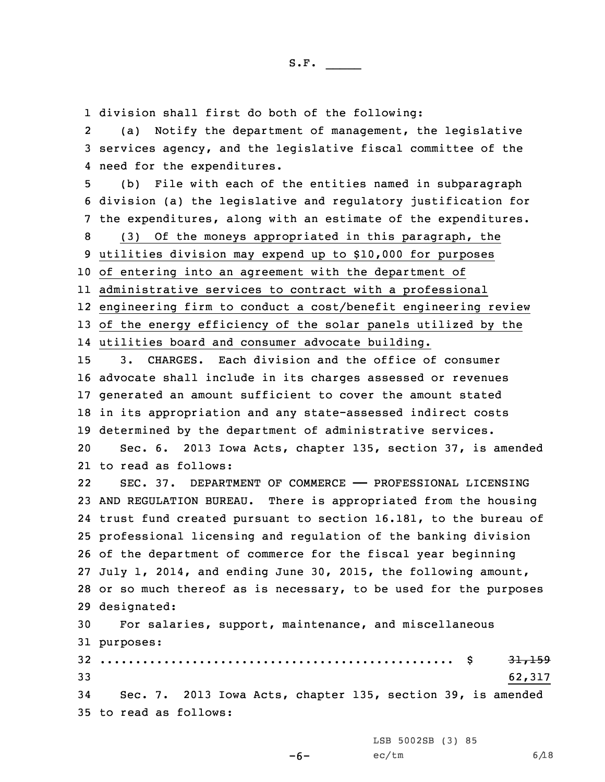1 division shall first do both of the following:

2 (a) Notify the department of management, the legislative 3 services agency, and the legislative fiscal committee of the 4 need for the expenditures.

 (b) File with each of the entities named in subparagraph division (a) the legislative and regulatory justification for the expenditures, along with an estimate of the expenditures. (3) Of the moneys appropriated in this paragraph, the utilities division may expend up to \$10,000 for purposes of entering into an agreement with the department of administrative services to contract with <sup>a</sup> professional engineering firm to conduct <sup>a</sup> cost/benefit engineering review 13 of the energy efficiency of the solar panels utilized by the

14 utilities board and consumer advocate building.

 3. CHARGES. Each division and the office of consumer advocate shall include in its charges assessed or revenues generated an amount sufficient to cover the amount stated in its appropriation and any state-assessed indirect costs determined by the department of administrative services.

20 Sec. 6. 2013 Iowa Acts, chapter 135, section 37, is amended 21 to read as follows:

22SEC. 37. DEPARTMENT OF COMMERCE - PROFESSIONAL LICENSING AND REGULATION BUREAU. There is appropriated from the housing trust fund created pursuant to section 16.181, to the bureau of professional licensing and regulation of the banking division of the department of commerce for the fiscal year beginning July 1, 2014, and ending June 30, 2015, the following amount, or so much thereof as is necessary, to be used for the purposes designated:

30 For salaries, support, maintenance, and miscellaneous 31 purposes:

 .................................................. \$ 31,159 33 62,317 Sec. 7. 2013 Iowa Acts, chapter 135, section 39, is amended to read as follows:

LSB 5002SB (3) 85

 $ec/tm$  6/18

```
-6-
```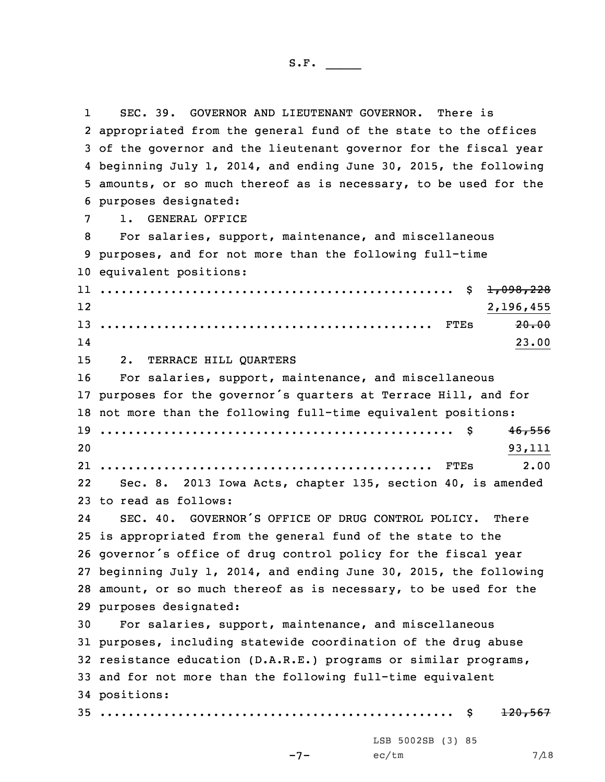1 SEC. 39. GOVERNOR AND LIEUTENANT GOVERNOR. There is appropriated from the general fund of the state to the offices of the governor and the lieutenant governor for the fiscal year beginning July 1, 2014, and ending June 30, 2015, the following amounts, or so much thereof as is necessary, to be used for the purposes designated: 1. GENERAL OFFICE For salaries, support, maintenance, and miscellaneous purposes, and for not more than the following full-time equivalent positions: .................................................. \$ 1,098,228 12 2,196,455 ............................................... FTEs 20.00 14 $14$  23.00 2. TERRACE HILL QUARTERS For salaries, support, maintenance, and miscellaneous purposes for the governor's quarters at Terrace Hill, and for not more than the following full-time equivalent positions: .................................................. \$ 46,556 20 93,111 ............................................... FTEs 2.00 22 Sec. 8. 2013 Iowa Acts, chapter 135, section 40, is amended to read as follows: 24 SEC. 40. GOVERNOR'S OFFICE OF DRUG CONTROL POLICY. There is appropriated from the general fund of the state to the governor's office of drug control policy for the fiscal year beginning July 1, 2014, and ending June 30, 2015, the following amount, or so much thereof as is necessary, to be used for the purposes designated: For salaries, support, maintenance, and miscellaneous purposes, including statewide coordination of the drug abuse resistance education (D.A.R.E.) programs or similar programs, and for not more than the following full-time equivalent positions: .................................................. \$ 120,567  $-7-$ LSB 5002SB (3) 85  $ec/tm$  7/18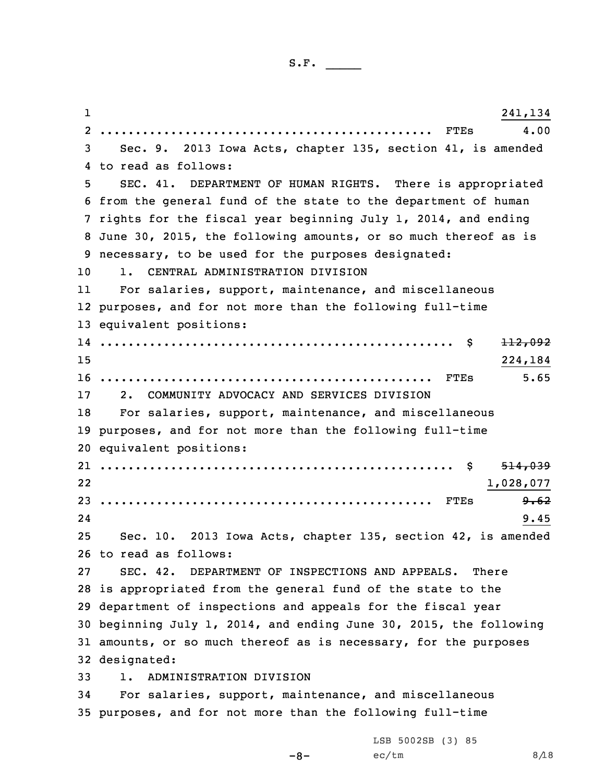1 241,134  $2<sup>2</sup>$  ............................................... FTEs 4.00 Sec. 9. 2013 Iowa Acts, chapter 135, section 41, is amended to read as follows: SEC. 41. DEPARTMENT OF HUMAN RIGHTS. There is appropriated from the general fund of the state to the department of human rights for the fiscal year beginning July 1, 2014, and ending June 30, 2015, the following amounts, or so much thereof as is necessary, to be used for the purposes designated: 1. CENTRAL ADMINISTRATION DIVISION 11 For salaries, support, maintenance, and miscellaneous purposes, and for not more than the following full-time equivalent positions: .................................................. \$ 112,092 15 224,184 ............................................... FTEs 5.65 2. COMMUNITY ADVOCACY AND SERVICES DIVISION For salaries, support, maintenance, and miscellaneous purposes, and for not more than the following full-time equivalent positions: .................................................. \$ 514,039 22 1,028,077 ............................................... FTEs 9.62 24 $24$  9.45 Sec. 10. 2013 Iowa Acts, chapter 135, section 42, is amended to read as follows: SEC. 42. DEPARTMENT OF INSPECTIONS AND APPEALS. There is appropriated from the general fund of the state to the department of inspections and appeals for the fiscal year beginning July 1, 2014, and ending June 30, 2015, the following amounts, or so much thereof as is necessary, for the purposes designated: 1. ADMINISTRATION DIVISION For salaries, support, maintenance, and miscellaneous purposes, and for not more than the following full-time LSB 5002SB (3) 85

 $-8-$ 

 $ec/tm$  8/18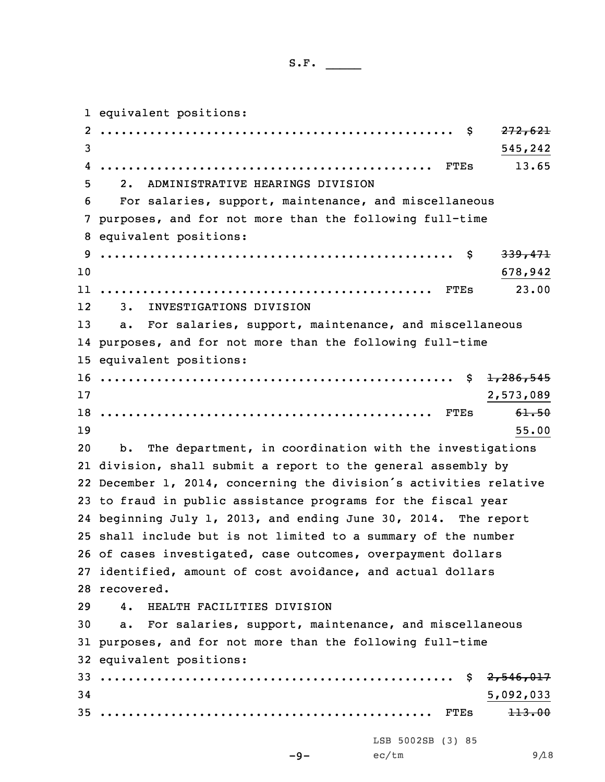equivalent positions: 2 .................................................. \$ 272,621 3 545,242 ............................................... FTEs 13.65 2. ADMINISTRATIVE HEARINGS DIVISION For salaries, support, maintenance, and miscellaneous purposes, and for not more than the following full-time equivalent positions: .................................................. \$ 339,471 10 678,942 ............................................... FTEs 23.00 12 3. INVESTIGATIONS DIVISION a. For salaries, support, maintenance, and miscellaneous purposes, and for not more than the following full-time equivalent positions: .................................................. \$ 1,286,545 2,573,089 ............................................... FTEs 61.50  $19$  55.00 b. The department, in coordination with the investigations division, shall submit <sup>a</sup> report to the general assembly by December 1, 2014, concerning the division's activities relative to fraud in public assistance programs for the fiscal year beginning July 1, 2013, and ending June 30, 2014. The report shall include but is not limited to <sup>a</sup> summary of the number of cases investigated, case outcomes, overpayment dollars identified, amount of cost avoidance, and actual dollars recovered. 4. HEALTH FACILITIES DIVISION a. For salaries, support, maintenance, and miscellaneous purposes, and for not more than the following full-time equivalent positions: .................................................. \$ 2,546,017 5,092,033 ............................................... FTEs 113.00  $-9-$ LSB 5002SB (3) 85  $ec/tm$  9/18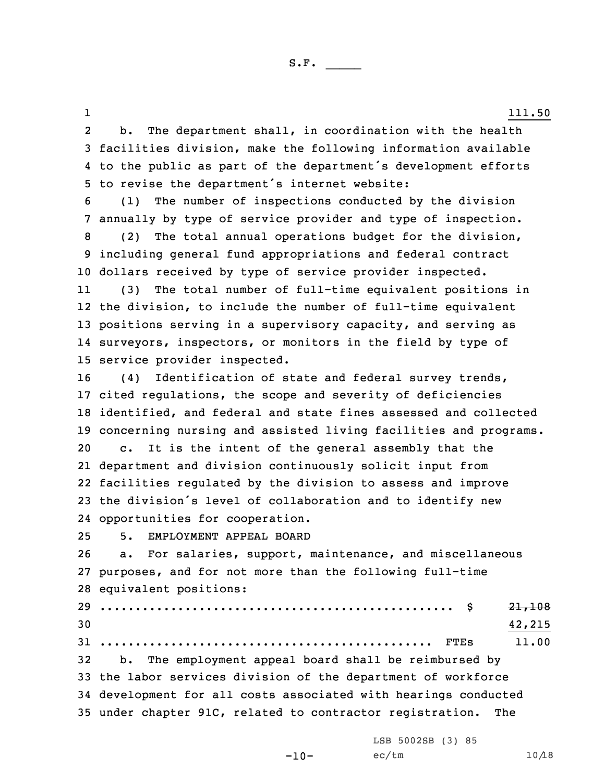1 and  $111.50$ 2 b. The department shall, in coordination with the health facilities division, make the following information available to the public as part of the department's development efforts to revise the department's internet website: (1) The number of inspections conducted by the division annually by type of service provider and type of inspection. (2) The total annual operations budget for the division, including general fund appropriations and federal contract dollars received by type of service provider inspected. 11 (3) The total number of full-time equivalent positions in the division, to include the number of full-time equivalent positions serving in <sup>a</sup> supervisory capacity, and serving as surveyors, inspectors, or monitors in the field by type of service provider inspected. (4) Identification of state and federal survey trends, cited regulations, the scope and severity of deficiencies identified, and federal and state fines assessed and collected concerning nursing and assisted living facilities and programs. c. It is the intent of the general assembly that the department and division continuously solicit input from facilities regulated by the division to assess and improve the division's level of collaboration and to identify new opportunities for cooperation. 5. EMPLOYMENT APPEAL BOARD a. For salaries, support, maintenance, and miscellaneous purposes, and for not more than the following full-time equivalent positions: .................................................. \$ 21,108  $30 \hspace{2.5cm} 42,215$  ............................................... FTEs 11.00 b. The employment appeal board shall be reimbursed by the labor services division of the department of workforce development for all costs associated with hearings conducted under chapter 91C, related to contractor registration. The

LSB 5002SB (3) 85

 $ec/tm$  10/18

 $-10-$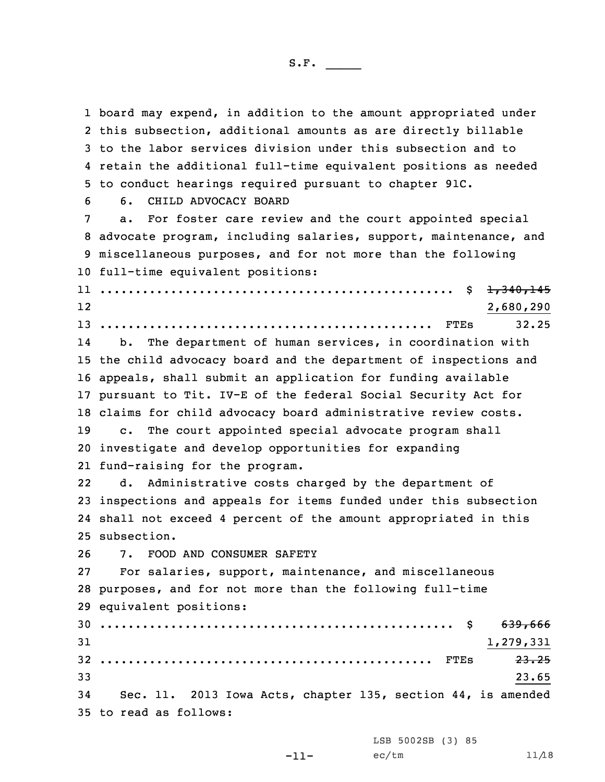board may expend, in addition to the amount appropriated under this subsection, additional amounts as are directly billable to the labor services division under this subsection and to retain the additional full-time equivalent positions as needed to conduct hearings required pursuant to chapter 91C. 6. CHILD ADVOCACY BOARD a. For foster care review and the court appointed special advocate program, including salaries, support, maintenance, and miscellaneous purposes, and for not more than the following full-time equivalent positions: .................................................. \$ 1,340,145 12 2,680,290 ............................................... FTEs 32.25 14 b. The department of human services, in coordination with the child advocacy board and the department of inspections and appeals, shall submit an application for funding available pursuant to Tit. IV-E of the federal Social Security Act for claims for child advocacy board administrative review costs. c. The court appointed special advocate program shall investigate and develop opportunities for expanding fund-raising for the program. 22 d. Administrative costs charged by the department of inspections and appeals for items funded under this subsection shall not exceed 4 percent of the amount appropriated in this subsection. 7. FOOD AND CONSUMER SAFETY For salaries, support, maintenance, and miscellaneous purposes, and for not more than the following full-time equivalent positions: .................................................. \$ 639,666  $31$   $1,279,331$  ............................................... FTEs 23.25  $33$  23.65 Sec. 11. 2013 Iowa Acts, chapter 135, section 44, is amended to read as follows:

-11-

LSB 5002SB (3) 85  $ec/tm$  11/18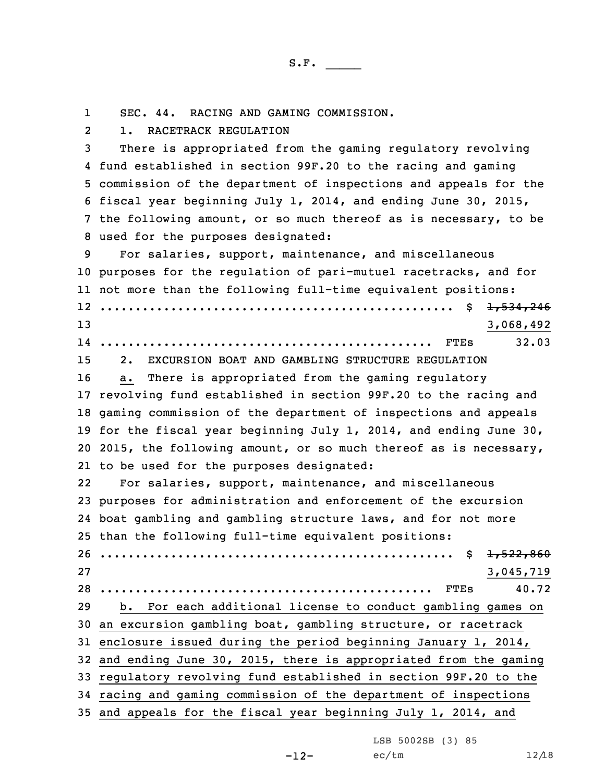1SEC. 44. RACING AND GAMING COMMISSION.

21. RACETRACK REGULATION

 There is appropriated from the gaming regulatory revolving fund established in section 99F.20 to the racing and gaming commission of the department of inspections and appeals for the fiscal year beginning July 1, 2014, and ending June 30, 2015, the following amount, or so much thereof as is necessary, to be used for the purposes designated:

 For salaries, support, maintenance, and miscellaneous purposes for the regulation of pari-mutuel racetracks, and for not more than the following full-time equivalent positions: .................................................. \$ 1,534,246 3,068,492 ............................................... FTEs 32.03 2. EXCURSION BOAT AND GAMBLING STRUCTURE REGULATION a. There is appropriated from the gaming regulatory revolving fund established in section 99F.20 to the racing and gaming commission of the department of inspections and appeals for the fiscal year beginning July 1, 2014, and ending June 30, 2015, the following amount, or so much thereof as is necessary, to be used for the purposes designated: 22 For salaries, support, maintenance, and miscellaneous purposes for administration and enforcement of the excursion boat gambling and gambling structure laws, and for not more than the following full-time equivalent positions: .................................................. \$ 1,522,860 3,045,719 ............................................... FTEs 40.72

 b. For each additional license to conduct gambling games on an excursion gambling boat, gambling structure, or racetrack enclosure issued during the period beginning January 1, 2014, and ending June 30, 2015, there is appropriated from the gaming regulatory revolving fund established in section 99F.20 to the racing and gaming commission of the department of inspections and appeals for the fiscal year beginning July 1, 2014, and

LSB 5002SB (3) 85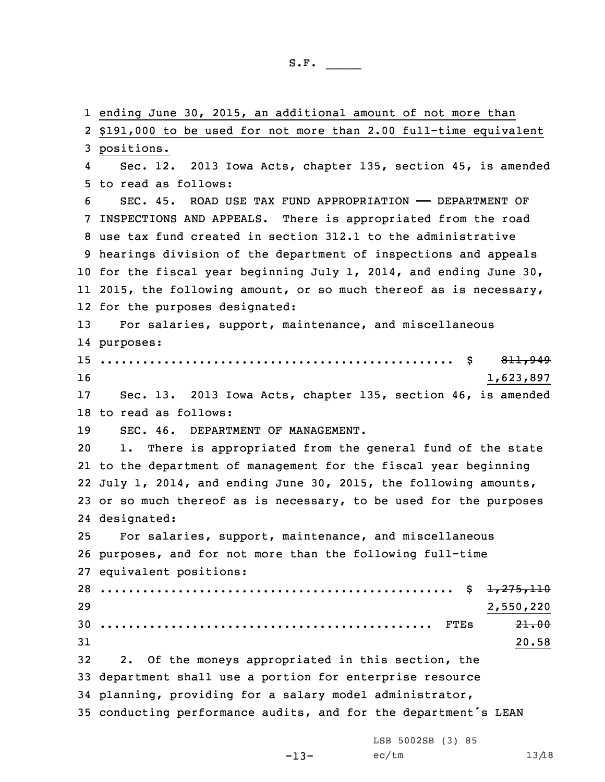ending June 30, 2015, an additional amount of not more than \$191,000 to be used for not more than 2.00 full-time equivalent positions. 4 Sec. 12. 2013 Iowa Acts, chapter 135, section 45, is amended to read as follows: SEC. 45. ROAD USE TAX FUND APPROPRIATION —— DEPARTMENT OF INSPECTIONS AND APPEALS. There is appropriated from the road use tax fund created in section 312.1 to the administrative hearings division of the department of inspections and appeals for the fiscal year beginning July 1, 2014, and ending June 30, 11 2015, the following amount, or so much thereof as is necessary, for the purposes designated: For salaries, support, maintenance, and miscellaneous purposes: .................................................. \$ 811,949  $1,623,897$  Sec. 13. 2013 Iowa Acts, chapter 135, section 46, is amended to read as follows: SEC. 46. DEPARTMENT OF MANAGEMENT. 1. There is appropriated from the general fund of the state to the department of management for the fiscal year beginning July 1, 2014, and ending June 30, 2015, the following amounts, or so much thereof as is necessary, to be used for the purposes designated: For salaries, support, maintenance, and miscellaneous purposes, and for not more than the following full-time equivalent positions: .................................................. \$ 1,275,110 2,550,220 ............................................... FTEs 21.00  $31$  20.58 2. Of the moneys appropriated in this section, the department shall use <sup>a</sup> portion for enterprise resource planning, providing for <sup>a</sup> salary model administrator, conducting performance audits, and for the department's LEAN

-13-

LSB 5002SB (3) 85  $ec/tm$  13/18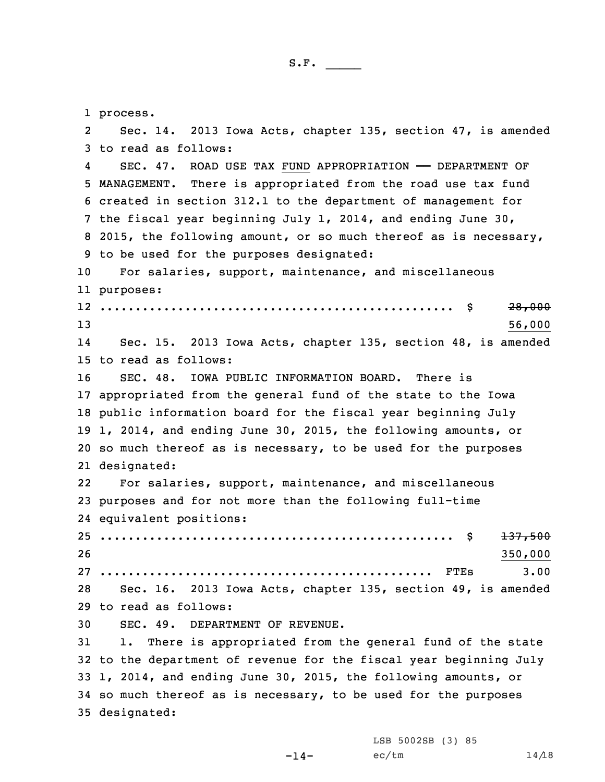1 process. 2 Sec. 14. 2013 Iowa Acts, chapter 135, section 47, is amended to read as follows: 4 SEC. 47. ROAD USE TAX FUND APPROPRIATION —— DEPARTMENT OF MANAGEMENT. There is appropriated from the road use tax fund created in section 312.1 to the department of management for the fiscal year beginning July 1, 2014, and ending June 30, 2015, the following amount, or so much thereof as is necessary, to be used for the purposes designated: For salaries, support, maintenance, and miscellaneous purposes: .................................................. \$ 28,000  $13$  56,000 14 Sec. 15. 2013 Iowa Acts, chapter 135, section 48, is amended to read as follows: SEC. 48. IOWA PUBLIC INFORMATION BOARD. There is appropriated from the general fund of the state to the Iowa public information board for the fiscal year beginning July 1, 2014, and ending June 30, 2015, the following amounts, or so much thereof as is necessary, to be used for the purposes designated: 22 For salaries, support, maintenance, and miscellaneous purposes and for not more than the following full-time equivalent positions: .................................................. \$ 137,500 26 350,000 ............................................... FTEs 3.00 Sec. 16. 2013 Iowa Acts, chapter 135, section 49, is amended to read as follows: SEC. 49. DEPARTMENT OF REVENUE. 1. There is appropriated from the general fund of the state to the department of revenue for the fiscal year beginning July 1, 2014, and ending June 30, 2015, the following amounts, or so much thereof as is necessary, to be used for the purposes designated:

 $-14-$ 

LSB 5002SB (3) 85  $ec/tm$  14/18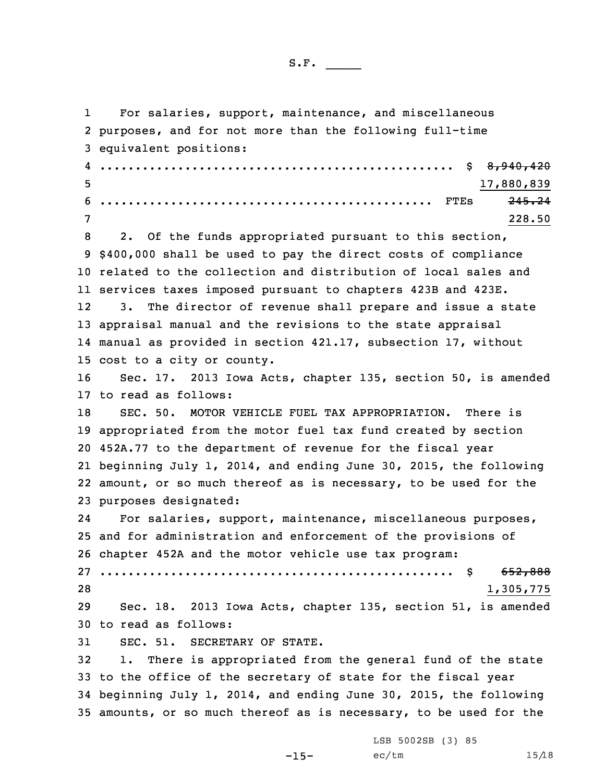| ◡ | . .<br>. . | ٠ |  |  |
|---|------------|---|--|--|
|   |            |   |  |  |

1 For salaries, support, maintenance, and miscellaneous purposes, and for not more than the following full-time equivalent positions: 4 .................................................. \$ 8,940,420 17,880,839 ............................................... FTEs 245.24 7 228.50 2. Of the funds appropriated pursuant to this section, \$400,000 shall be used to pay the direct costs of compliance related to the collection and distribution of local sales and services taxes imposed pursuant to chapters 423B and 423E. 12 3. The director of revenue shall prepare and issue <sup>a</sup> state appraisal manual and the revisions to the state appraisal manual as provided in section 421.17, subsection 17, without cost to <sup>a</sup> city or county. Sec. 17. 2013 Iowa Acts, chapter 135, section 50, is amended to read as follows: SEC. 50. MOTOR VEHICLE FUEL TAX APPROPRIATION. There is appropriated from the motor fuel tax fund created by section 452A.77 to the department of revenue for the fiscal year beginning July 1, 2014, and ending June 30, 2015, the following amount, or so much thereof as is necessary, to be used for the purposes designated: 24 For salaries, support, maintenance, miscellaneous purposes, and for administration and enforcement of the provisions of chapter 452A and the motor vehicle use tax program: .................................................. \$ 652,888 1,305,775 Sec. 18. 2013 Iowa Acts, chapter 135, section 51, is amended to read as follows: SEC. 51. SECRETARY OF STATE. 1. There is appropriated from the general fund of the state to the office of the secretary of state for the fiscal year beginning July 1, 2014, and ending June 30, 2015, the following amounts, or so much thereof as is necessary, to be used for the

 $-15-$ 

LSB 5002SB (3) 85  $ec/tm$  15/18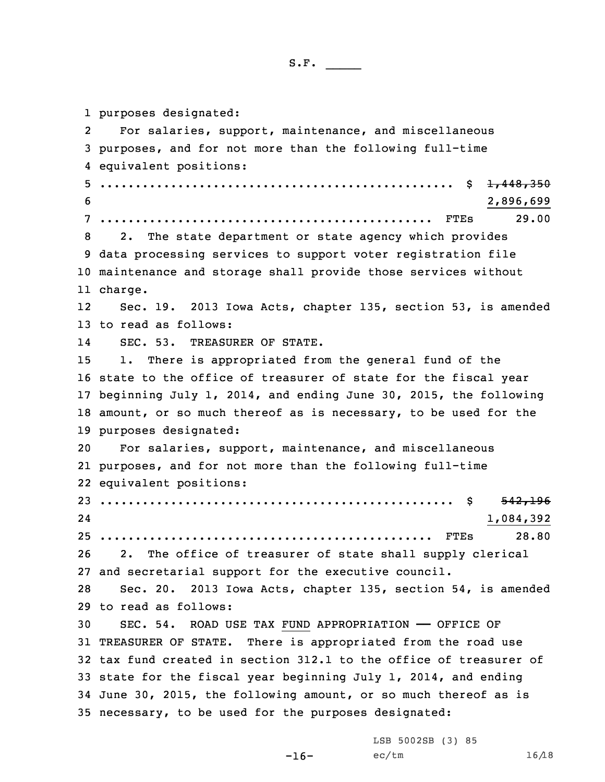purposes designated: 2 For salaries, support, maintenance, and miscellaneous purposes, and for not more than the following full-time equivalent positions: .................................................. \$ 1,448,350 2,896,699 ............................................... FTEs 29.00 2. The state department or state agency which provides data processing services to support voter registration file maintenance and storage shall provide those services without 11 charge. 12 Sec. 19. 2013 Iowa Acts, chapter 135, section 53, is amended to read as follows: 14 SEC. 53. TREASURER OF STATE. 1. There is appropriated from the general fund of the state to the office of treasurer of state for the fiscal year beginning July 1, 2014, and ending June 30, 2015, the following amount, or so much thereof as is necessary, to be used for the purposes designated: For salaries, support, maintenance, and miscellaneous purposes, and for not more than the following full-time equivalent positions: .................................................. \$ 542,196 24 1,084,392 ............................................... FTEs 28.80 2. The office of treasurer of state shall supply clerical and secretarial support for the executive council. Sec. 20. 2013 Iowa Acts, chapter 135, section 54, is amended to read as follows: SEC. 54. ROAD USE TAX FUND APPROPRIATION —— OFFICE OF TREASURER OF STATE. There is appropriated from the road use tax fund created in section 312.1 to the office of treasurer of state for the fiscal year beginning July 1, 2014, and ending June 30, 2015, the following amount, or so much thereof as is necessary, to be used for the purposes designated:

-16-

LSB 5002SB (3) 85  $ec/tm$  16/18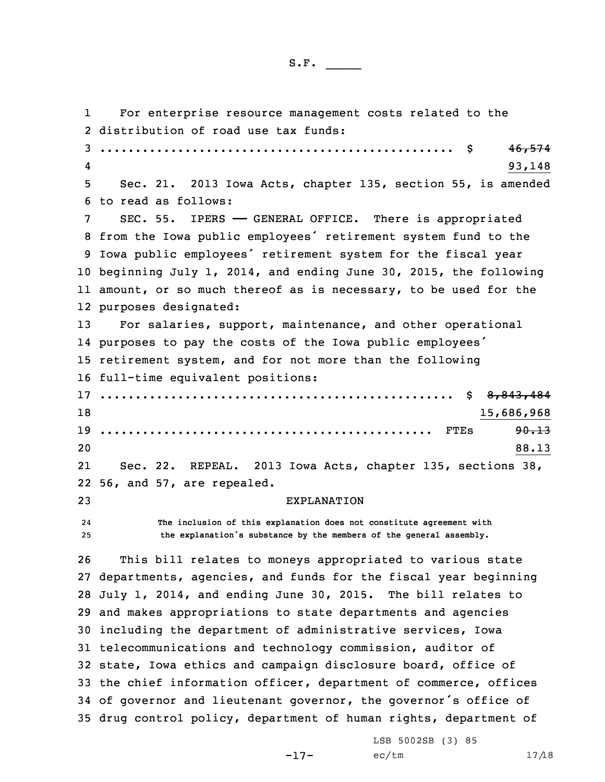```
S.F. \rule{1em}{0.15mm}
```
1 For enterprise resource management costs related to the distribution of road use tax funds: .................................................. \$ 46,574 4 $^{4}$  93,148 Sec. 21. 2013 Iowa Acts, chapter 135, section 55, is amended to read as follows: SEC. 55. IPERS —— GENERAL OFFICE. There is appropriated from the Iowa public employees' retirement system fund to the Iowa public employees' retirement system for the fiscal year beginning July 1, 2014, and ending June 30, 2015, the following amount, or so much thereof as is necessary, to be used for the purposes designated: For salaries, support, maintenance, and other operational purposes to pay the costs of the Iowa public employees' retirement system, and for not more than the following full-time equivalent positions: .................................................. \$ 8,843,484 15,686,968 ............................................... FTEs 90.13 20  $88.13$ 21 Sec. 22. REPEAL. 2013 Iowa Acts, chapter 135, sections 38, 56, and 57, are repealed. EXPLANATION 24 **The inclusion of this explanation does not constitute agreement with the explanation's substance by the members of the general assembly.** This bill relates to moneys appropriated to various state departments, agencies, and funds for the fiscal year beginning July 1, 2014, and ending June 30, 2015. The bill relates to and makes appropriations to state departments and agencies including the department of administrative services, Iowa telecommunications and technology commission, auditor of state, Iowa ethics and campaign disclosure board, office of the chief information officer, department of commerce, offices of governor and lieutenant governor, the governor's office of drug control policy, department of human rights, department of

-17-

LSB 5002SB (3) 85  $ec/tm$  17/18